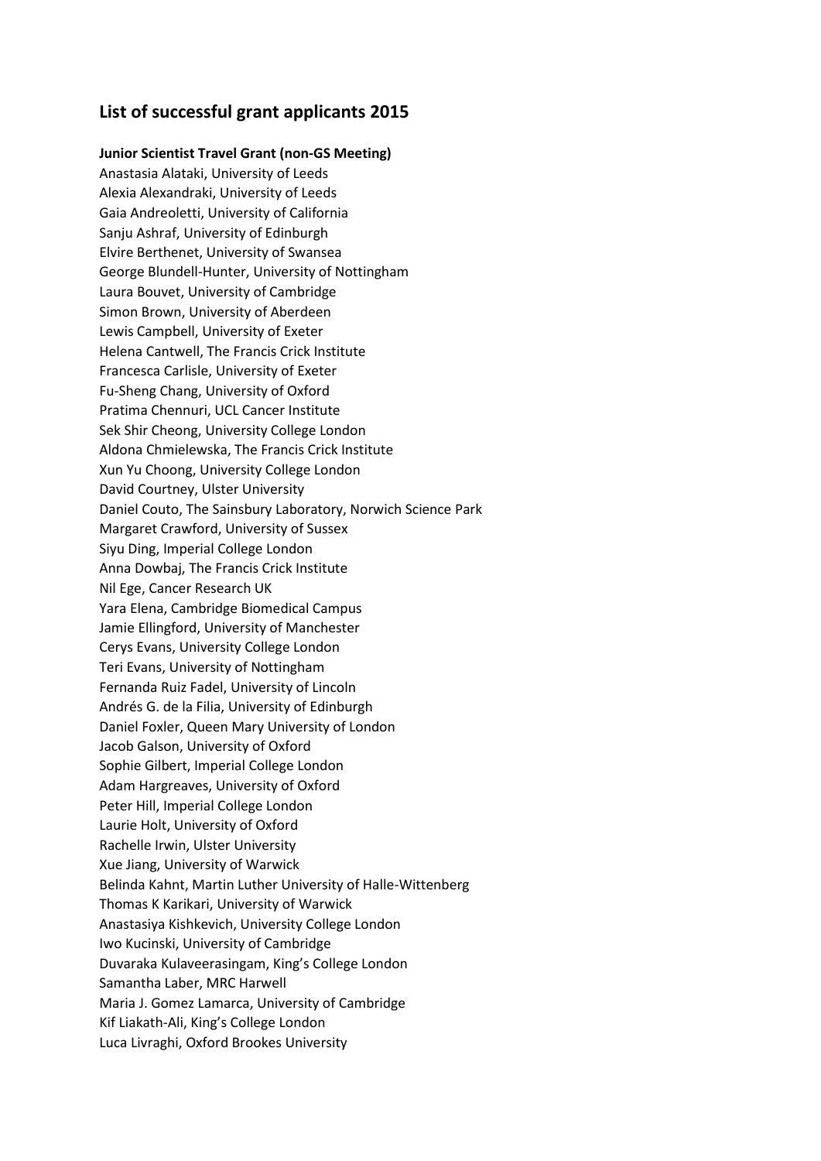# **List of successful grant applicants 2015**

**Junior Scientist Travel Grant (non-GS Meeting)**  Anastasia Alataki, University of Leeds Alexia Alexandraki, University of Leeds Gaia Andreoletti, University of California Sanju Ashraf, University of Edinburgh Elvire Berthenet, University of Swansea George Blundell-Hunter, University of Nottingham Laura Bouvet, University of Cambridge Simon Brown, University of Aberdeen Lewis Campbell, University of Exeter Helena Cantwell, The Francis Crick Institute Francesca Carlisle, University of Exeter Fu-Sheng Chang, University of Oxford Pratima Chennuri, UCL Cancer Institute Sek Shir Cheong, University College London Aldona Chmielewska, The Francis Crick Institute Xun Yu Choong, University College London David Courtney, Ulster University Daniel Couto, The Sainsbury Laboratory, Norwich Science Park Margaret Crawford, University of Sussex Siyu Ding, Imperial College London Anna Dowbaj, The Francis Crick Institute Nil Ege, Cancer Research UK Yara Elena, Cambridge Biomedical Campus Jamie Ellingford, University of Manchester Cerys Evans, University College London Teri Evans, University of Nottingham Fernanda Ruiz Fadel, University of Lincoln Andrés G. de la Filia, University of Edinburgh Daniel Foxler, Queen Mary University of London Jacob Galson, University of Oxford Sophie Gilbert, Imperial College London Adam Hargreaves, University of Oxford Peter Hill, Imperial College London Laurie Holt, University of Oxford Rachelle Irwin, Ulster University Xue Jiang, University of Warwick Belinda Kahnt, Martin Luther University of Halle-Wittenberg Thomas K Karikari, University of Warwick Anastasiya Kishkevich, University College London Iwo Kucinski, University of Cambridge Duvaraka Kulaveerasingam, King's College London Samantha Laber, MRC Harwell Maria J. Gomez Lamarca, University of Cambridge Kif Liakath-Ali, King's College London Luca Livraghi, Oxford Brookes University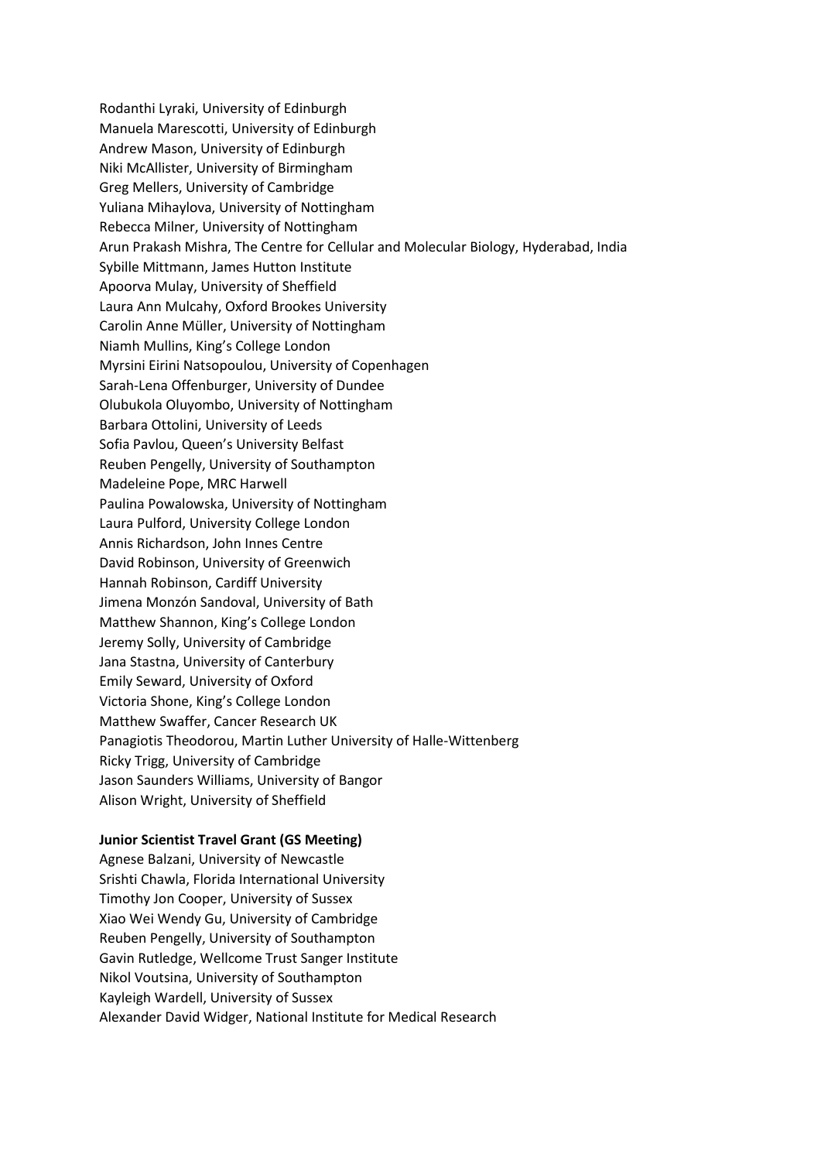Rodanthi Lyraki, University of Edinburgh Manuela Marescotti, University of Edinburgh Andrew Mason, University of Edinburgh Niki McAllister, University of Birmingham Greg Mellers, University of Cambridge Yuliana Mihaylova, University of Nottingham Rebecca Milner, University of Nottingham Arun Prakash Mishra, The Centre for Cellular and Molecular Biology, Hyderabad, India Sybille Mittmann, James Hutton Institute Apoorva Mulay, University of Sheffield Laura Ann Mulcahy, Oxford Brookes University Carolin Anne Müller, University of Nottingham Niamh Mullins, King's College London Myrsini Eirini Natsopoulou, University of Copenhagen Sarah-Lena Offenburger, University of Dundee Olubukola Oluyombo, University of Nottingham Barbara Ottolini, University of Leeds Sofia Pavlou, Queen's University Belfast Reuben Pengelly, University of Southampton Madeleine Pope, MRC Harwell Paulina Powalowska, University of Nottingham Laura Pulford, University College London Annis Richardson, John Innes Centre David Robinson, University of Greenwich Hannah Robinson, Cardiff University Jimena Monzón Sandoval, University of Bath Matthew Shannon, King's College London Jeremy Solly, University of Cambridge Jana Stastna, University of Canterbury Emily Seward, University of Oxford Victoria Shone, King's College London Matthew Swaffer, Cancer Research UK Panagiotis Theodorou, Martin Luther University of Halle-Wittenberg Ricky Trigg, University of Cambridge Jason Saunders Williams, University of Bangor Alison Wright, University of Sheffield

## **Junior Scientist Travel Grant (GS Meeting)**

Agnese Balzani, University of Newcastle Srishti Chawla, Florida International University Timothy Jon Cooper, University of Sussex Xiao Wei Wendy Gu, University of Cambridge Reuben Pengelly, University of Southampton Gavin Rutledge, Wellcome Trust Sanger Institute Nikol Voutsina, University of Southampton Kayleigh Wardell, University of Sussex Alexander David Widger, National Institute for Medical Research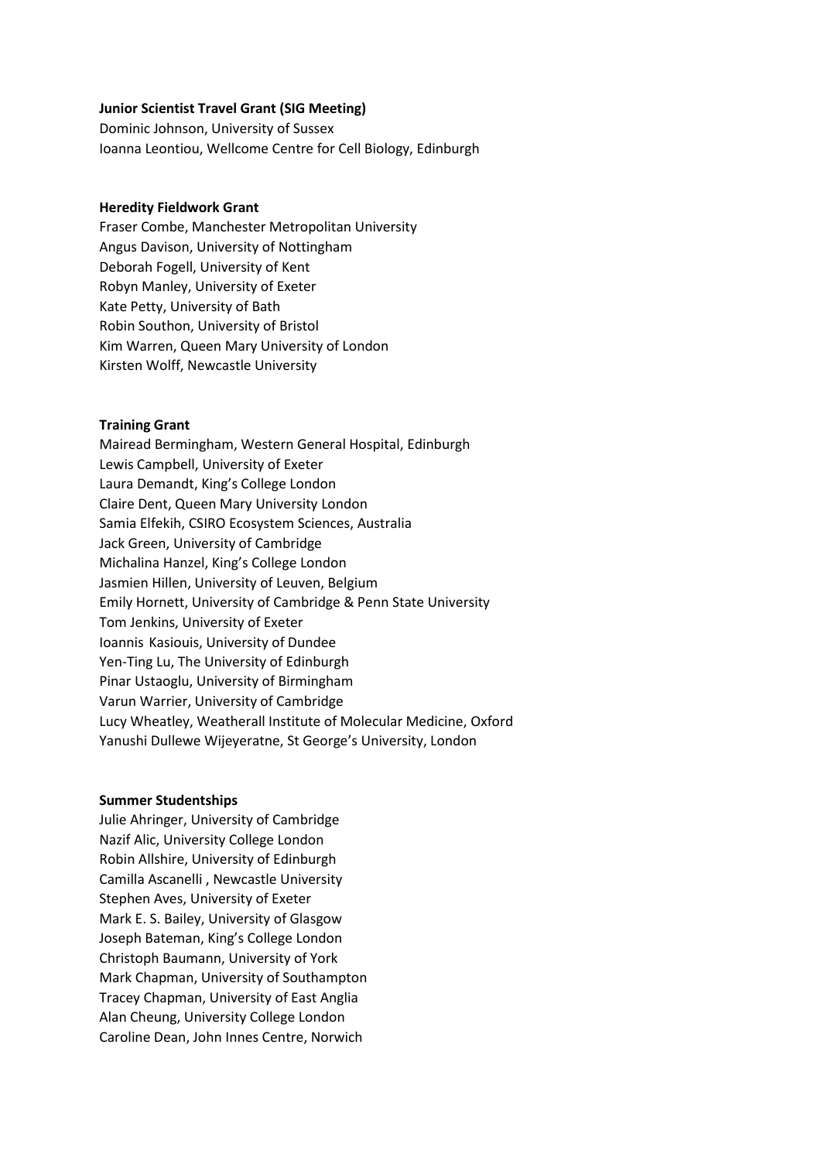## **Junior Scientist Travel Grant (SIG Meeting)**

Dominic Johnson, University of Sussex Ioanna Leontiou, Wellcome Centre for Cell Biology, Edinburgh

### **Heredity Fieldwork Grant**

Fraser Combe, Manchester Metropolitan University Angus Davison, University of Nottingham Deborah Fogell, University of Kent Robyn Manley, University of Exeter Kate Petty, University of Bath Robin Southon, University of Bristol Kim Warren, Queen Mary University of London Kirsten Wolff, Newcastle University

#### **Training Grant**

Mairead Bermingham, Western General Hospital, Edinburgh Lewis Campbell, University of Exeter Laura Demandt, King's College London Claire Dent, Queen Mary University London Samia Elfekih, CSIRO Ecosystem Sciences, Australia Jack Green, University of Cambridge Michalina Hanzel, King's College London Jasmien Hillen, University of Leuven, Belgium Emily Hornett, University of Cambridge & Penn State University Tom Jenkins, University of Exeter Ioannis Kasiouis, University of Dundee Yen-Ting Lu, The University of Edinburgh Pinar Ustaoglu, University of Birmingham Varun Warrier, University of Cambridge Lucy Wheatley, Weatherall Institute of Molecular Medicine, Oxford Yanushi Dullewe Wijeyeratne, St George's University, London

#### **Summer Studentships**

Julie Ahringer, University of Cambridge Nazif Alic, University College London Robin Allshire, University of Edinburgh Camilla Ascanelli , Newcastle University Stephen Aves, University of Exeter Mark E. S. Bailey, University of Glasgow Joseph Bateman, King's College London Christoph Baumann, University of York Mark Chapman, University of Southampton Tracey Chapman, University of East Anglia Alan Cheung, University College London Caroline Dean, John Innes Centre, Norwich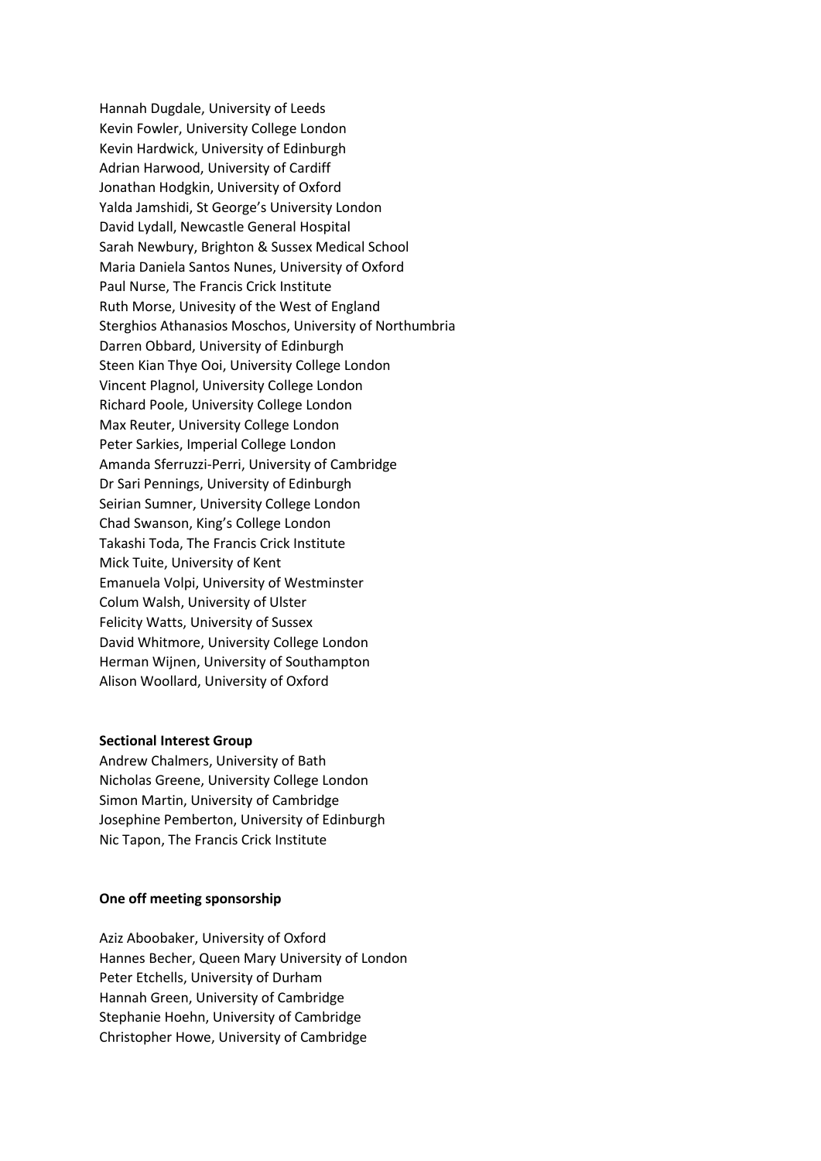Hannah Dugdale, University of Leeds Kevin Fowler, University College London Kevin Hardwick, University of Edinburgh Adrian Harwood, University of Cardiff Jonathan Hodgkin, University of Oxford Yalda Jamshidi, St George's University London David Lydall, Newcastle General Hospital Sarah Newbury, Brighton & Sussex Medical School Maria Daniela Santos Nunes, University of Oxford Paul Nurse, The Francis Crick Institute Ruth Morse, Univesity of the West of England Sterghios Athanasios Moschos, University of Northumbria Darren Obbard, University of Edinburgh Steen Kian Thye Ooi, University College London Vincent Plagnol, University College London Richard Poole, University College London Max Reuter, University College London Peter Sarkies, Imperial College London Amanda Sferruzzi-Perri, University of Cambridge Dr Sari Pennings, University of Edinburgh Seirian Sumner, University College London Chad Swanson, King's College London Takashi Toda, The Francis Crick Institute Mick Tuite, University of Kent Emanuela Volpi, University of Westminster Colum Walsh, University of Ulster Felicity Watts, University of Sussex David Whitmore, University College London Herman Wijnen, University of Southampton Alison Woollard, University of Oxford

# **Sectional Interest Group**

Andrew Chalmers, University of Bath Nicholas Greene, University College London Simon Martin, University of Cambridge Josephine Pemberton, University of Edinburgh Nic Tapon, The Francis Crick Institute

# **One off meeting sponsorship**

Aziz Aboobaker, University of Oxford Hannes Becher, Queen Mary University of London Peter Etchells, University of Durham Hannah Green, University of Cambridge Stephanie Hoehn, University of Cambridge Christopher Howe, University of Cambridge